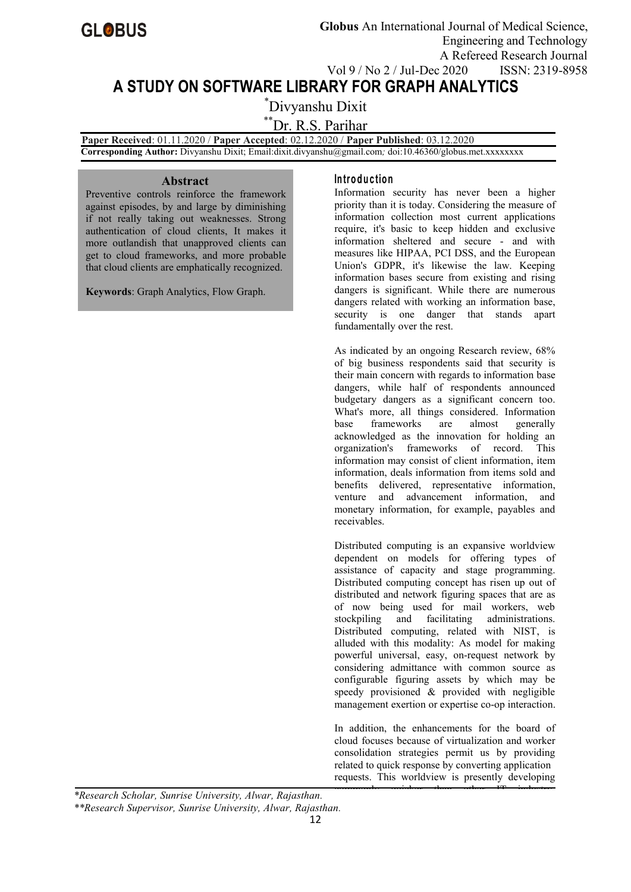# **A STUDY ON SOFTWARE LIBRARY FOR GRAPH ANALYTICS**

\*Divyanshu Dixit

\*\*Dr. R.S. Parihar

**Paper Received**: 01.11.2020 / **Paper Accepted**: 02.12.2020 / **Paper Published**: 03.12.2020 **Corresponding Author:** Divyanshu Dixit; Email:dixit.divyanshu@gmail.com*;* doi:10.46360/globus.met.xxxxxxxx

#### **Abstract**

Preventive controls reinforce the framework against episodes, by and large by diminishing if not really taking out weaknesses. Strong authentication of cloud clients, It makes it more outlandish that unapproved clients can get to cloud frameworks, and more probable that cloud clients are emphatically recognized.

**Keywords**: Graph Analytics, Flow Graph.

## **In tro d u c tio n**

Information security has never been a higher priority than it is today. Considering the measure of information collection most current applications require, it's basic to keep hidden and exclusive information sheltered and secure - and with measures like HIPAA, PCI DSS, and the European Union's GDPR, it's likewise the law. Keeping information bases secure from existing and rising dangers is significant. While there are numerous dangers related with working an information base, security is one danger that stands apart fundamentally over the rest.

As indicated by an ongoing Research review, 68% of big business respondents said that security is their main concern with regards to information base dangers, while half of respondents announced budgetary dangers as a significant concern too. What's more, all things considered. Information base frameworks are almost generally acknowledged as the innovation for holding an organization's frameworks of record. This information may consist of client information, item information, deals information from items sold and benefits delivered, representative information, venture and advancement information, and monetary information, for example, payables and receivables.

Distributed computing is an expansive worldview dependent on models for offering types of assistance of capacity and stage programming. Distributed computing concept has risen up out of distributed and network figuring spaces that are as of now being used for mail workers, web stockpiling and facilitating administrations. Distributed computing, related with NIST, is alluded with this modality: As model for making powerful universal, easy, on-request network by considering admittance with common source as configurable figuring assets by which may be speedy provisioned & provided with negligible management exertion or expertise co-op interaction.

In addition, the enhancements for the board of cloud focuses because of virtualization and worker consolidation strategies permit us by providing related to quick response by converting application requests. This worldview is presently developing

commonweals, and change than others than  $\mathcal{I}^{\text{th}}$  industry.

*\*Research Scholar, Sunrise University, Alwar, Rajasthan.*

 $\mathbf{B}$ *\*\*Research Supervisor, Sunrise University, Alwar, Rajasthan.*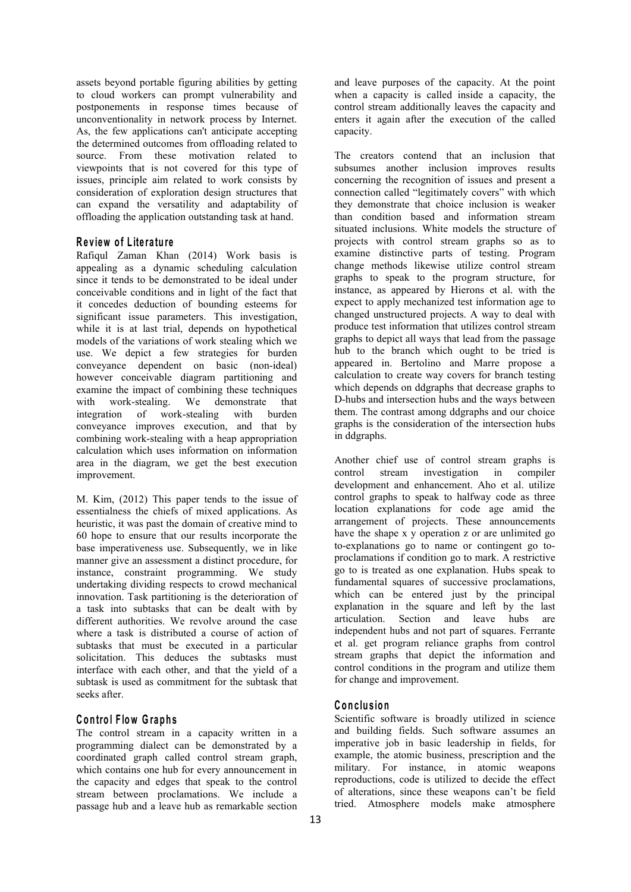assets beyond portable figuring abilities by getting to cloud workers can prompt vulnerability and postponements in response times because of unconventionality in network process by Internet. As, the few applications can't anticipate accepting the determined outcomes from offloading related to source. From these motivation related to viewpoints that is not covered for this type of issues, principle aim related to work consists by consideration of exploration design structures that can expand the versatility and adaptability of offloading the application outstanding task at hand.

#### **R e v iew o f L ite ra tu re**

Rafiqul Zaman Khan (2014) Work basis is appealing as a dynamic scheduling calculation since it tends to be demonstrated to be ideal under conceivable conditions and in light of the fact that it concedes deduction of bounding esteems for significant issue parameters. This investigation, while it is at last trial, depends on hypothetical models of the variations of work stealing which we use. We depict a few strategies for burden conveyance dependent on basic (non-ideal) however conceivable diagram partitioning and examine the impact of combining these techniques<br>with work-stealing. We demonstrate that with work-stealing. We demonstrate that integration of work-stealing with burden conveyance improves execution, and that by combining work-stealing with a heap appropriation calculation which uses information on information area in the diagram, we get the best execution improvement.

M. Kim, (2012) This paper tends to the issue of essentialness the chiefs of mixed applications. As heuristic, it was past the domain of creative mind to 60 hope to ensure that our results incorporate the base imperativeness use. Subsequently, we in like manner give an assessment a distinct procedure, for instance, constraint programming. We study undertaking dividing respects to crowd mechanical innovation. Task partitioning is the deterioration of a task into subtasks that can be dealt with by different authorities. We revolve around the case where a task is distributed a course of action of subtasks that must be executed in a particular solicitation. This deduces the subtasks must interface with each other, and that the yield of a subtask is used as commitment for the subtask that seeks after.

## **C o n tro l F low G rap hs**

The control stream in a capacity written in a programming dialect can be demonstrated by a coordinated graph called control stream graph, which contains one hub for every announcement in the capacity and edges that speak to the control stream between proclamations. We include a passage hub and a leave hub as remarkable section and leave purposes of the capacity. At the point when a capacity is called inside a capacity, the control stream additionally leaves the capacity and enters it again after the execution of the called capacity.

The creators contend that an inclusion that subsumes another inclusion improves results concerning the recognition of issues and present a connection called "legitimately covers" with which they demonstrate that choice inclusion is weaker than condition based and information stream situated inclusions.White models the structure of projects with control stream graphs so as to examine distinctive parts of testing. Program change methods likewise utilize control stream graphs to speak to the program structure, for instance, as appeared by Hierons et al.with the expect to apply mechanized test information age to changed unstructured projects. A way to deal with produce test information that utilizes control stream graphs to depict all ways that lead from the passage hub to the branch which ought to be tried is appeared in. Bertolino and Marre propose a calculation to create way covers for branch testing which depends on ddgraphs that decrease graphs to D-hubs and intersection hubs and the ways between them. The contrast among ddgraphs and our choice graphs is the consideration of the intersection hubs in ddgraphs.

Another chief use of control stream graphs is control stream investigation in compiler development and enhancement. Aho et al. utilize control graphs to speak to halfway code as three location explanations for code age amid the arrangement of projects. These announcements have the shape x y operation z or are unlimited go to-explanations go to name or contingent go to proclamations if condition go to mark. A restrictive go to is treated as one explanation. Hubs speak to fundamental squares of successive proclamations, which can be entered just by the principal explanation in the square and left by the last articulation. Section and leave hubs are independent hubs and not part of squares. Ferrante et al. get program reliance graphs from control stream graphs that depict the information and control conditions in the program and utilize them for change and improvement.

### $C$  **onclusion**

Scientific software is broadly utilized in science and building fields. Such software assumes an imperative job in basic leadership in fields, for example, the atomic business, prescription and the military. For instance, in atomic weapons reproductions, code is utilized to decide the effect of alterations, since these weapons can't be field tried. Atmosphere models make atmosphere